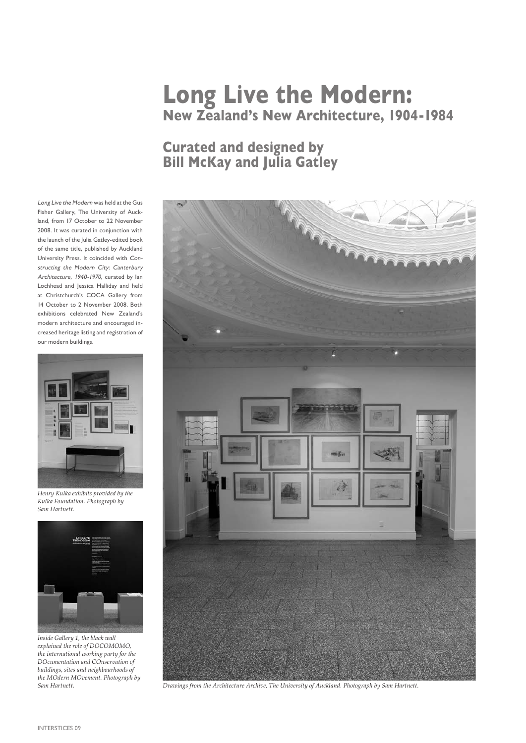## **Long Live the Modern: New Zealand's New Architecture, 1904-1984**

## **Curated and designed by Bill McKay and Julia Gatley**

Long Live the Modern was held at the Gus Fisher Gallery, The University of Auckland, from 17 October to 22 November 2008. It was curated in conjunction with the launch of the Julia Gatley-edited book of the same title, published by Auckland University Press. It coincided with Constructing the Modern City: Canterbury Architecture, 1940-1970, curated by Ian Lochhead and Jessica Halliday and held at Christchurch's COCA Gallery from 14 October to 2 November 2008. Both exhibitions celebrated New Zealand's modern architecture and encouraged increased heritage listing and registration of our modern buildings.



*Henry Kulka exhibits provided by the Kulka Foundation. Photograph by Sam Hartnett.*



*Inside Gallery 1, the black wall explained the role of DOCOMOMO, the international working party for the DOcumentation and COnservation of buildings, sites and neighbourhoods of the MOdern MOvement. Photograph by Sam Hartnett.*



*Drawings from the Architecture Archive, The University of Auckland. Photograph by Sam Hartnett.*